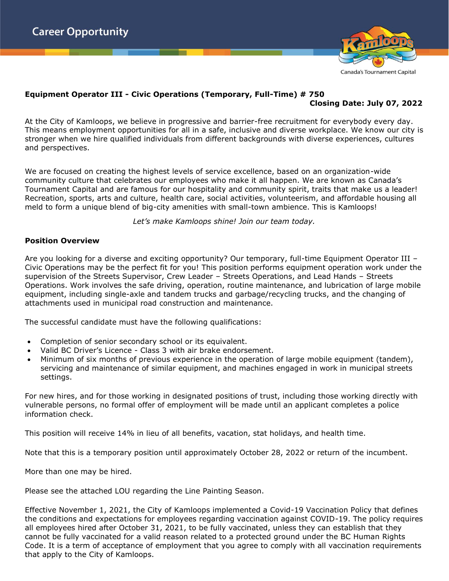

# **Equipment Operator III - Civic Operations (Temporary, Full-Time) # 750**

## **Closing Date: July 07, 2022**

At the City of Kamloops, we believe in progressive and barrier-free recruitment for everybody every day. This means employment opportunities for all in a safe, inclusive and diverse workplace. We know our city is stronger when we hire qualified individuals from different backgrounds with diverse experiences, cultures and perspectives.

We are focused on creating the highest levels of service excellence, based on an organization-wide community culture that celebrates our employees who make it all happen. We are known as Canada's Tournament Capital and are famous for our hospitality and community spirit, traits that make us a leader! Recreation, sports, arts and culture, health care, social activities, volunteerism, and affordable housing all meld to form a unique blend of big-city amenities with small-town ambience. This is Kamloops!

*Let's make Kamloops shine! Join our team today.*

### **Position Overview**

Are you looking for a diverse and exciting opportunity? Our temporary, full-time Equipment Operator III -Civic Operations may be the perfect fit for you! This position performs equipment operation work under the supervision of the Streets Supervisor, Crew Leader – Streets Operations, and Lead Hands – Streets Operations. Work involves the safe driving, operation, routine maintenance, and lubrication of large mobile equipment, including single-axle and tandem trucks and garbage/recycling trucks, and the changing of attachments used in municipal road construction and maintenance.

The successful candidate must have the following qualifications:

- Completion of senior secondary school or its equivalent.
- Valid BC Driver's Licence Class 3 with air brake endorsement.
- Minimum of six months of previous experience in the operation of large mobile equipment (tandem), servicing and maintenance of similar equipment, and machines engaged in work in municipal streets settings.

For new hires, and for those working in designated positions of trust, including those working directly with vulnerable persons, no formal offer of employment will be made until an applicant completes a police information check.

This position will receive 14% in lieu of all benefits, vacation, stat holidays, and health time.

Note that this is a temporary position until approximately October 28, 2022 or return of the incumbent.

More than one may be hired.

Please see the attached LOU regarding the Line Painting Season.

Effective November 1, 2021, the City of Kamloops implemented a Covid-19 Vaccination Policy that defines the conditions and expectations for employees regarding vaccination against COVID-19. The policy requires all employees hired after October 31, 2021, to be fully vaccinated, unless they can establish that they cannot be fully vaccinated for a valid reason related to a protected ground under the BC Human Rights Code. It is a term of acceptance of employment that you agree to comply with all vaccination requirements that apply to the City of Kamloops.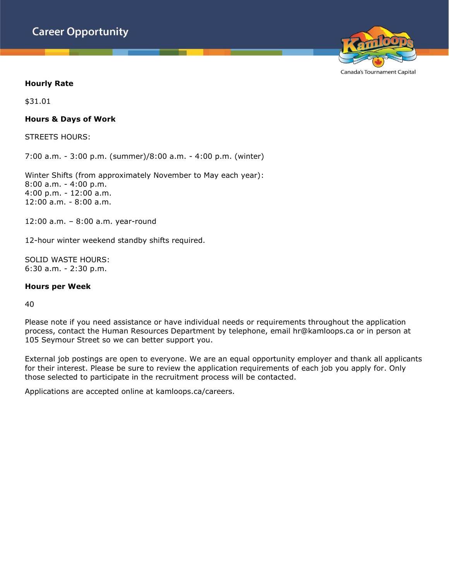

Canada's Tournament Capital

### **Hourly Rate**

\$31.01

#### **Hours & Days of Work**

STREETS HOURS:

7:00 a.m. - 3:00 p.m. (summer)/8:00 a.m. - 4:00 p.m. (winter)

Winter Shifts (from approximately November to May each year): 8:00 a.m. - 4:00 p.m. 4:00 p.m. - 12:00 a.m. 12:00 a.m. - 8:00 a.m.

12:00 a.m. – 8:00 a.m. year-round

12-hour winter weekend standby shifts required.

SOLID WASTE HOURS: 6:30 a.m. - 2:30 p.m.

#### **Hours per Week**

40

Please note if you need assistance or have individual needs or requirements throughout the application process, contact the Human Resources Department by telephone, email hr@kamloops.ca or in person at 105 Seymour Street so we can better support you.

External job postings are open to everyone. We are an equal opportunity employer and thank all applicants for their interest. Please be sure to review the application requirements of each job you apply for. Only those selected to participate in the recruitment process will be contacted.

Applications are accepted online at kamloops.ca/careers.